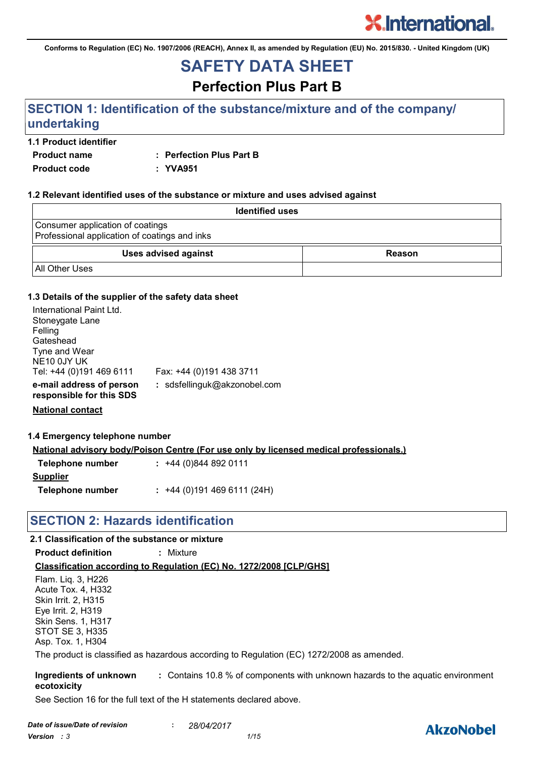**Conforms to Regulation (EC) No. 1907/2006 (REACH), Annex II, as amended by Regulation (EU) No. 2015/830. - United Kingdom (UK)**

# **SAFETY DATA SHEET**

**Perfection Plus Part B**

# **SECTION 1: Identification of the substance/mixture and of the company/ undertaking**

#### **1.1 Product identifier**

**Product name : Perfection Plus Part B**

**Product code : YVA951**

#### **1.2 Relevant identified uses of the substance or mixture and uses advised against**

| <b>Identified uses</b>                                                            |        |  |
|-----------------------------------------------------------------------------------|--------|--|
| Consumer application of coatings<br>Professional application of coatings and inks |        |  |
| <b>Uses advised against</b>                                                       | Reason |  |
| <b>All Other Uses</b>                                                             |        |  |

#### **1.3 Details of the supplier of the safety data sheet**

| International Paint Ltd.<br>Stoneygate Lane<br>Felling<br>Gateshead<br>Tyne and Wear<br>NE10 0JY UK<br>Tel: +44 (0)191 469 6111 | Fax: +44 (0)191 438 3711     |
|---------------------------------------------------------------------------------------------------------------------------------|------------------------------|
| e-mail address of person<br>responsible for this SDS                                                                            | : sdsfellinguk@akzonobel.com |

**National contact**

#### **1.4 Emergency telephone number**

**National advisory body/Poison Centre (For use only by licensed medical professionals.)**

| Telephone number | $: +44(0)8448920111$      |
|------------------|---------------------------|
| <b>Supplier</b>  |                           |
| Telephone number | $: +44(0)1914696111(24H)$ |

### **SECTION 2: Hazards identification**

### **2.1 Classification of the substance or mixture**

**Product definition :** Mixture

#### **Classification according to Regulation (EC) No. 1272/2008 [CLP/GHS]**

Flam. Liq. 3, H226 Acute Tox. 4, H332 Skin Irrit. 2, H315 Eye Irrit. 2, H319 Skin Sens. 1, H317 STOT SE 3, H335 Asp. Tox. 1, H304

The product is classified as hazardous according to Regulation (EC) 1272/2008 as amended.

**Ingredients of unknown ecotoxicity :** Contains 10.8 % of components with unknown hazards to the aquatic environment

See Section 16 for the full text of the H statements declared above.

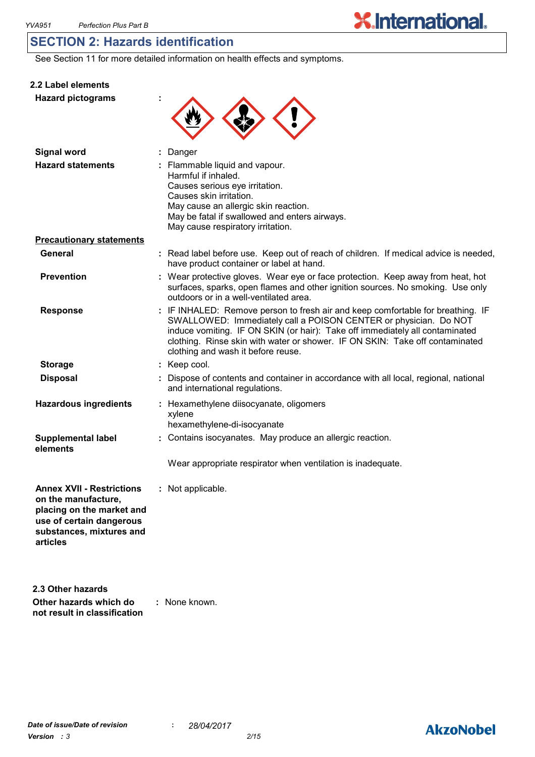**2.2 Label elements**

### **SECTION 2: Hazards identification**

See Section 11 for more detailed information on health effects and symptoms.

| <b>Hazard pictograms</b>                                                                                                                                 |                                                                                                                                                                                                                                                                                                                                                           |
|----------------------------------------------------------------------------------------------------------------------------------------------------------|-----------------------------------------------------------------------------------------------------------------------------------------------------------------------------------------------------------------------------------------------------------------------------------------------------------------------------------------------------------|
| <b>Signal word</b>                                                                                                                                       | : Danger                                                                                                                                                                                                                                                                                                                                                  |
| <b>Hazard statements</b>                                                                                                                                 | : Flammable liquid and vapour.<br>Harmful if inhaled.<br>Causes serious eye irritation.<br>Causes skin irritation.<br>May cause an allergic skin reaction.<br>May be fatal if swallowed and enters airways.<br>May cause respiratory irritation.                                                                                                          |
| <b>Precautionary statements</b>                                                                                                                          |                                                                                                                                                                                                                                                                                                                                                           |
| General                                                                                                                                                  | : Read label before use. Keep out of reach of children. If medical advice is needed,<br>have product container or label at hand.                                                                                                                                                                                                                          |
| <b>Prevention</b>                                                                                                                                        | : Wear protective gloves. Wear eye or face protection. Keep away from heat, hot<br>surfaces, sparks, open flames and other ignition sources. No smoking. Use only<br>outdoors or in a well-ventilated area.                                                                                                                                               |
| <b>Response</b>                                                                                                                                          | : IF INHALED: Remove person to fresh air and keep comfortable for breathing. IF<br>SWALLOWED: Immediately call a POISON CENTER or physician. Do NOT<br>induce vomiting. IF ON SKIN (or hair): Take off immediately all contaminated<br>clothing. Rinse skin with water or shower. IF ON SKIN: Take off contaminated<br>clothing and wash it before reuse. |
| <b>Storage</b>                                                                                                                                           | : Keep cool.                                                                                                                                                                                                                                                                                                                                              |
| <b>Disposal</b>                                                                                                                                          | Dispose of contents and container in accordance with all local, regional, national<br>and international regulations.                                                                                                                                                                                                                                      |
| <b>Hazardous ingredients</b>                                                                                                                             | : Hexamethylene diisocyanate, oligomers<br>xylene<br>hexamethylene-di-isocyanate                                                                                                                                                                                                                                                                          |
| <b>Supplemental label</b><br>elements                                                                                                                    | : Contains isocyanates. May produce an allergic reaction.                                                                                                                                                                                                                                                                                                 |
|                                                                                                                                                          | Wear appropriate respirator when ventilation is inadequate.                                                                                                                                                                                                                                                                                               |
| <b>Annex XVII - Restrictions</b><br>on the manufacture,<br>placing on the market and<br>use of certain dangerous<br>substances, mixtures and<br>articles | Not applicable.                                                                                                                                                                                                                                                                                                                                           |
| 2.3 Other hazards                                                                                                                                        |                                                                                                                                                                                                                                                                                                                                                           |

**Other hazards which do : not result in classification** : None known.

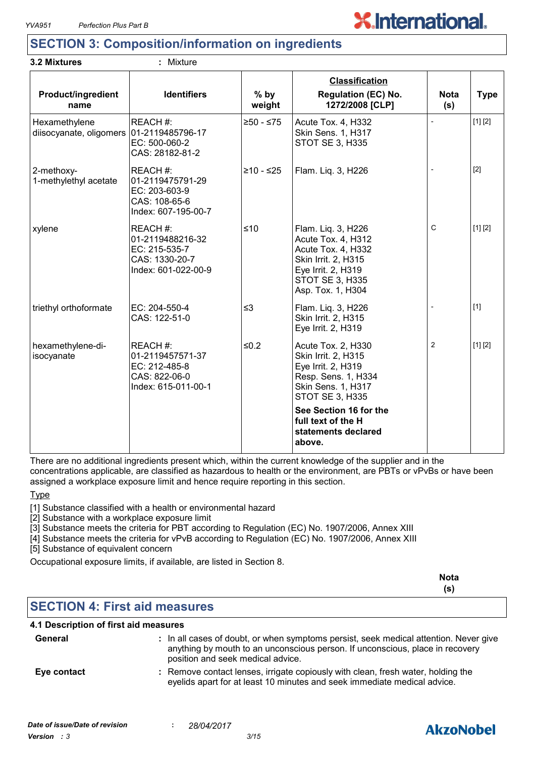**3.2 Mixtures :** Mixture



## **SECTION 3: Composition/information on ingredients**

| <b>Product/ingredient</b><br>name                           | <b>Identifiers</b>                                                                    | $%$ by<br>weight | <b>Classification</b><br><b>Regulation (EC) No.</b><br>1272/2008 [CLP]                                                                              | <b>Nota</b><br>(s)       | <b>Type</b> |
|-------------------------------------------------------------|---------------------------------------------------------------------------------------|------------------|-----------------------------------------------------------------------------------------------------------------------------------------------------|--------------------------|-------------|
| Hexamethylene<br>diisocyanate, oligomers   01-2119485796-17 | REACH #:<br>EC: 500-060-2<br>CAS: 28182-81-2                                          | $≥50 - ≤75$      | Acute Tox. 4, H332<br>Skin Sens. 1, H317<br>STOT SE 3, H335                                                                                         | $\overline{\phantom{a}}$ | [1] [2]     |
| 2-methoxy-<br>1-methylethyl acetate                         | REACH #:<br>01-2119475791-29<br>EC: 203-603-9<br>CAS: 108-65-6<br>Index: 607-195-00-7 | $≥10 - ≤25$      | Flam. Lig. 3, H226                                                                                                                                  |                          | $[2]$       |
| xylene                                                      | REACH#:<br>01-2119488216-32<br>EC: 215-535-7<br>CAS: 1330-20-7<br>Index: 601-022-00-9 | $≤10$            | Flam. Liq. 3, H226<br>Acute Tox. 4, H312<br>Acute Tox. 4, H332<br>Skin Irrit. 2, H315<br>Eye Irrit. 2, H319<br>STOT SE 3, H335<br>Asp. Tox. 1, H304 | C                        | [1] [2]     |
| triethyl orthoformate                                       | EC: 204-550-4<br>CAS: 122-51-0                                                        | $\leq$ 3         | Flam. Liq. 3, H226<br>Skin Irrit. 2, H315<br>Eye Irrit. 2, H319                                                                                     |                          | $[1]$       |
| hexamethylene-di-<br>isocyanate                             | REACH #:<br>01-2119457571-37<br>EC: 212-485-8<br>CAS: 822-06-0<br>Index: 615-011-00-1 | $≤0.2$           | Acute Tox. 2, H330<br>Skin Irrit. 2, H315<br>Eye Irrit. 2, H319<br>Resp. Sens. 1, H334<br>Skin Sens. 1, H317<br><b>STOT SE 3, H335</b>              | $\overline{2}$           | [1] [2]     |
|                                                             |                                                                                       |                  | See Section 16 for the<br>full text of the H<br>statements declared<br>above.                                                                       |                          |             |

There are no additional ingredients present which, within the current knowledge of the supplier and in the concentrations applicable, are classified as hazardous to health or the environment, are PBTs or vPvBs or have been assigned a workplace exposure limit and hence require reporting in this section.

#### Type

[1] Substance classified with a health or environmental hazard

[2] Substance with a workplace exposure limit

[3] Substance meets the criteria for PBT according to Regulation (EC) No. 1907/2006, Annex XIII

[4] Substance meets the criteria for vPvB according to Regulation (EC) No. 1907/2006, Annex XIII

[5] Substance of equivalent concern

Occupational exposure limits, if available, are listed in Section 8.

|                                      | <b>Nota</b> |
|--------------------------------------|-------------|
|                                      | (s)         |
| <b>SECTION 4: First aid measures</b> |             |

#### **4.1 Description of first aid measures**

| General     | : In all cases of doubt, or when symptoms persist, seek medical attention. Never give<br>anything by mouth to an unconscious person. If unconscious, place in recovery<br>position and seek medical advice. |
|-------------|-------------------------------------------------------------------------------------------------------------------------------------------------------------------------------------------------------------|
| Eye contact | : Remove contact lenses, irrigate copiously with clean, fresh water, holding the<br>eyelids apart for at least 10 minutes and seek immediate medical advice.                                                |

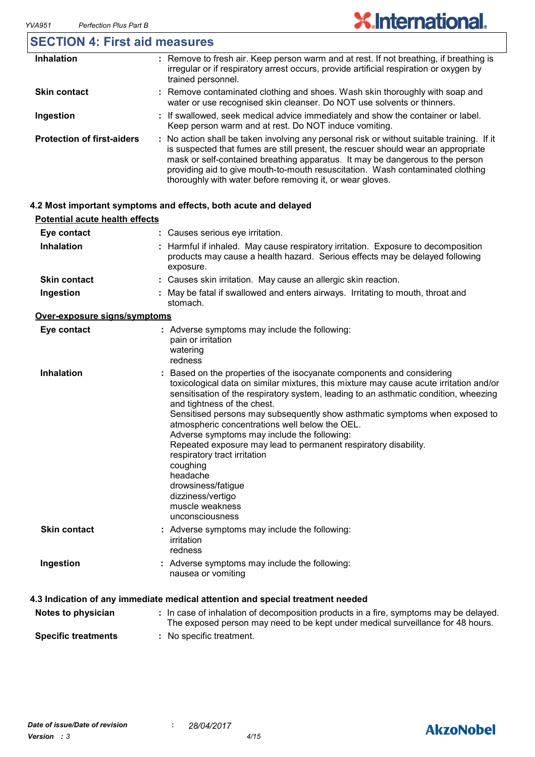### **SECTION 4: First aid measures**

| <b>Inhalation</b>                 | : Remove to fresh air. Keep person warm and at rest. If not breathing, if breathing is<br>irregular or if respiratory arrest occurs, provide artificial respiration or oxygen by<br>trained personnel.                                                                                                                                                                                                          |
|-----------------------------------|-----------------------------------------------------------------------------------------------------------------------------------------------------------------------------------------------------------------------------------------------------------------------------------------------------------------------------------------------------------------------------------------------------------------|
| <b>Skin contact</b>               | : Remove contaminated clothing and shoes. Wash skin thoroughly with soap and<br>water or use recognised skin cleanser. Do NOT use solvents or thinners.                                                                                                                                                                                                                                                         |
| Ingestion                         | : If swallowed, seek medical advice immediately and show the container or label.<br>Keep person warm and at rest. Do NOT induce vomiting.                                                                                                                                                                                                                                                                       |
| <b>Protection of first-aiders</b> | : No action shall be taken involving any personal risk or without suitable training. If it<br>is suspected that fumes are still present, the rescuer should wear an appropriate<br>mask or self-contained breathing apparatus. It may be dangerous to the person<br>providing aid to give mouth-to-mouth resuscitation. Wash contaminated clothing<br>thoroughly with water before removing it, or wear gloves. |

#### **4.2 Most important symptoms and effects, both acute and delayed**

| <b>Potential acute health effects</b> |                                                                                                                                                                                                                                                                                                                                                                                                                                                                                                                                                                                                    |
|---------------------------------------|----------------------------------------------------------------------------------------------------------------------------------------------------------------------------------------------------------------------------------------------------------------------------------------------------------------------------------------------------------------------------------------------------------------------------------------------------------------------------------------------------------------------------------------------------------------------------------------------------|
| Eye contact                           | : Causes serious eye irritation.                                                                                                                                                                                                                                                                                                                                                                                                                                                                                                                                                                   |
| <b>Inhalation</b>                     | : Harmful if inhaled. May cause respiratory irritation. Exposure to decomposition<br>products may cause a health hazard. Serious effects may be delayed following<br>exposure.                                                                                                                                                                                                                                                                                                                                                                                                                     |
| <b>Skin contact</b>                   | : Causes skin irritation. May cause an allergic skin reaction.                                                                                                                                                                                                                                                                                                                                                                                                                                                                                                                                     |
| Ingestion                             | May be fatal if swallowed and enters airways. Irritating to mouth, throat and<br>stomach.                                                                                                                                                                                                                                                                                                                                                                                                                                                                                                          |
| Over-exposure signs/symptoms          |                                                                                                                                                                                                                                                                                                                                                                                                                                                                                                                                                                                                    |
| Eye contact                           | : Adverse symptoms may include the following:<br>pain or irritation<br>watering<br>redness                                                                                                                                                                                                                                                                                                                                                                                                                                                                                                         |
| <b>Inhalation</b>                     | : Based on the properties of the isocyanate components and considering<br>toxicological data on similar mixtures, this mixture may cause acute irritation and/or<br>sensitisation of the respiratory system, leading to an asthmatic condition, wheezing<br>and tightness of the chest.<br>Sensitised persons may subsequently show asthmatic symptoms when exposed to<br>atmospheric concentrations well below the OEL.<br>Adverse symptoms may include the following:<br>Repeated exposure may lead to permanent respiratory disability.<br>respiratory tract irritation<br>coughing<br>headache |

**Skin contact Ingestion** dizziness/vertigo muscle weakness unconsciousness Adverse symptoms may include the following: **:** nausea or vomiting Adverse symptoms may include the following: **:** irritation redness

drowsiness/fatigue

#### **4.3 Indication of any immediate medical attention and special treatment needed**

| Notes to physician            | : In case of inhalation of decomposition products in a fire, symptoms may be delayed.<br>The exposed person may need to be kept under medical surveillance for 48 hours. |
|-------------------------------|--------------------------------------------------------------------------------------------------------------------------------------------------------------------------|
| And a little discussion and a | . Nie energifie toertoernat                                                                                                                                              |

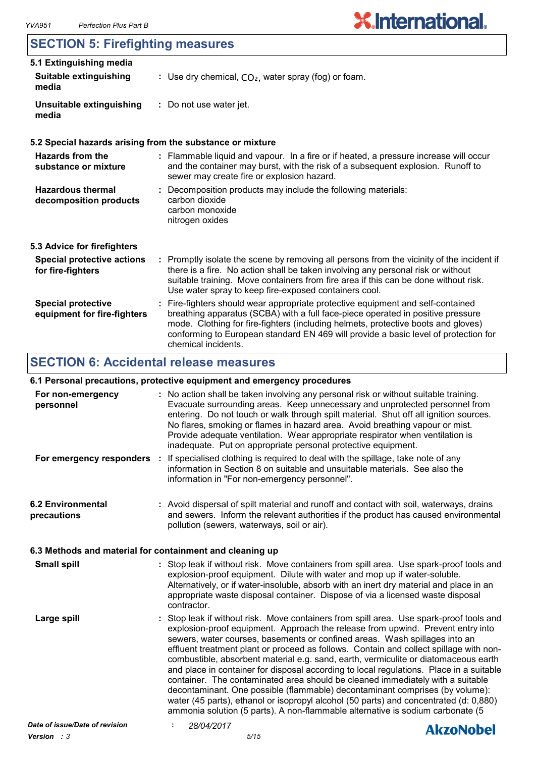# **SECTION 5: Firefighting measures**

| 5.1 Extinguishing media                                  |                                                                                                                                                                                                                                                                                                                                                                       |  |
|----------------------------------------------------------|-----------------------------------------------------------------------------------------------------------------------------------------------------------------------------------------------------------------------------------------------------------------------------------------------------------------------------------------------------------------------|--|
| <b>Suitable extinguishing</b><br>media                   | : Use dry chemical, $CO2$ , water spray (fog) or foam.                                                                                                                                                                                                                                                                                                                |  |
| Unsuitable extinguishing<br>media                        | : Do not use water jet.                                                                                                                                                                                                                                                                                                                                               |  |
|                                                          | 5.2 Special hazards arising from the substance or mixture                                                                                                                                                                                                                                                                                                             |  |
| Hazards from the<br>substance or mixture                 | : Flammable liquid and vapour. In a fire or if heated, a pressure increase will occur<br>and the container may burst, with the risk of a subsequent explosion. Runoff to<br>sewer may create fire or explosion hazard.                                                                                                                                                |  |
| <b>Hazardous thermal</b><br>decomposition products       | : Decomposition products may include the following materials:<br>carbon dioxide<br>carbon monoxide<br>nitrogen oxides                                                                                                                                                                                                                                                 |  |
| 5.3 Advice for firefighters                              |                                                                                                                                                                                                                                                                                                                                                                       |  |
| <b>Special protective actions</b><br>for fire-fighters   | : Promptly isolate the scene by removing all persons from the vicinity of the incident if<br>there is a fire. No action shall be taken involving any personal risk or without<br>suitable training. Move containers from fire area if this can be done without risk.<br>Use water spray to keep fire-exposed containers cool.                                         |  |
| <b>Special protective</b><br>equipment for fire-fighters | : Fire-fighters should wear appropriate protective equipment and self-contained<br>breathing apparatus (SCBA) with a full face-piece operated in positive pressure<br>mode. Clothing for fire-fighters (including helmets, protective boots and gloves)<br>conforming to European standard EN 469 will provide a basic level of protection for<br>chemical incidents. |  |

## **SECTION 6: Accidental release measures**

### **6.1 Personal precautions, protective equipment and emergency procedures**

| For non-emergency<br>personnel                           |                                               | : No action shall be taken involving any personal risk or without suitable training.<br>Evacuate surrounding areas. Keep unnecessary and unprotected personnel from<br>entering. Do not touch or walk through spilt material. Shut off all ignition sources.<br>No flares, smoking or flames in hazard area. Avoid breathing vapour or mist.<br>Provide adequate ventilation. Wear appropriate respirator when ventilation is<br>inadequate. Put on appropriate personal protective equipment.                                                                                                                                                                                                                                                                                                                                                                                    |
|----------------------------------------------------------|-----------------------------------------------|-----------------------------------------------------------------------------------------------------------------------------------------------------------------------------------------------------------------------------------------------------------------------------------------------------------------------------------------------------------------------------------------------------------------------------------------------------------------------------------------------------------------------------------------------------------------------------------------------------------------------------------------------------------------------------------------------------------------------------------------------------------------------------------------------------------------------------------------------------------------------------------|
| For emergency responders :                               | information in "For non-emergency personnel". | If specialised clothing is required to deal with the spillage, take note of any<br>information in Section 8 on suitable and unsuitable materials. See also the                                                                                                                                                                                                                                                                                                                                                                                                                                                                                                                                                                                                                                                                                                                    |
| <b>6.2 Environmental</b><br>precautions                  | pollution (sewers, waterways, soil or air).   | : Avoid dispersal of spilt material and runoff and contact with soil, waterways, drains<br>and sewers. Inform the relevant authorities if the product has caused environmental                                                                                                                                                                                                                                                                                                                                                                                                                                                                                                                                                                                                                                                                                                    |
| 6.3 Methods and material for containment and cleaning up |                                               |                                                                                                                                                                                                                                                                                                                                                                                                                                                                                                                                                                                                                                                                                                                                                                                                                                                                                   |
| <b>Small spill</b>                                       | contractor.                                   | : Stop leak if without risk. Move containers from spill area. Use spark-proof tools and<br>explosion-proof equipment. Dilute with water and mop up if water-soluble.<br>Alternatively, or if water-insoluble, absorb with an inert dry material and place in an<br>appropriate waste disposal container. Dispose of via a licensed waste disposal                                                                                                                                                                                                                                                                                                                                                                                                                                                                                                                                 |
| Large spill                                              |                                               | : Stop leak if without risk. Move containers from spill area. Use spark-proof tools and<br>explosion-proof equipment. Approach the release from upwind. Prevent entry into<br>sewers, water courses, basements or confined areas. Wash spillages into an<br>effluent treatment plant or proceed as follows. Contain and collect spillage with non-<br>combustible, absorbent material e.g. sand, earth, vermiculite or diatomaceous earth<br>and place in container for disposal according to local regulations. Place in a suitable<br>container. The contaminated area should be cleaned immediately with a suitable<br>decontaminant. One possible (flammable) decontaminant comprises (by volume):<br>water (45 parts), ethanol or isopropyl alcohol (50 parts) and concentrated (d: 0,880)<br>ammonia solution (5 parts). A non-flammable alternative is sodium carbonate (5 |
| Date of issue/Date of revision                           | 28/04/2017                                    | <b>AkzoNobel</b>                                                                                                                                                                                                                                                                                                                                                                                                                                                                                                                                                                                                                                                                                                                                                                                                                                                                  |
|                                                          |                                               |                                                                                                                                                                                                                                                                                                                                                                                                                                                                                                                                                                                                                                                                                                                                                                                                                                                                                   |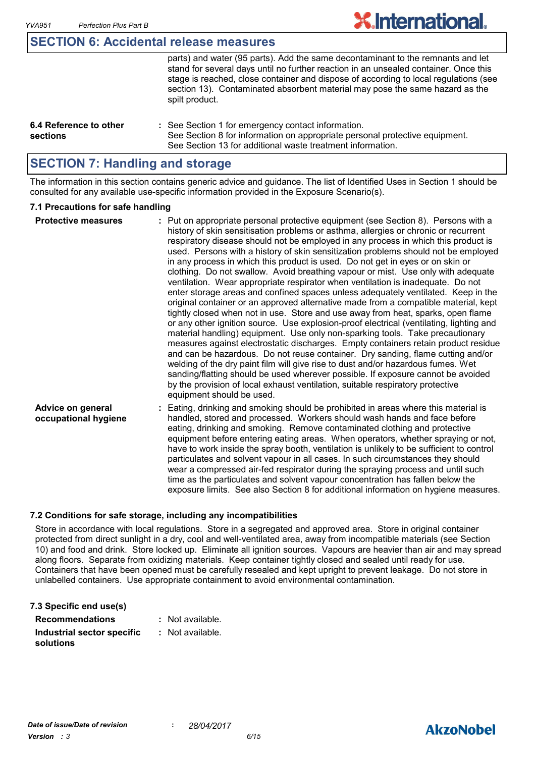#### **SECTION 6: Accidental release measures**

|                                    | parts) and water (95 parts). Add the same decontaminant to the remnants and let<br>stand for several days until no further reaction in an unsealed container. Once this<br>stage is reached, close container and dispose of according to local regulations (see<br>section 13). Contaminated absorbent material may pose the same hazard as the |
|------------------------------------|-------------------------------------------------------------------------------------------------------------------------------------------------------------------------------------------------------------------------------------------------------------------------------------------------------------------------------------------------|
| 6.4 Reference to other<br>sections | spilt product.<br>: See Section 1 for emergency contact information.<br>See Section 8 for information on appropriate personal protective equipment.                                                                                                                                                                                             |
|                                    | See Section 13 for additional waste treatment information.                                                                                                                                                                                                                                                                                      |

**X.International.** 

### **SECTION 7: Handling and storage**

The information in this section contains generic advice and guidance. The list of Identified Uses in Section 1 should be consulted for any available use-specific information provided in the Exposure Scenario(s).

#### **7.1 Precautions for safe handling**

| <b>Protective measures</b>                | : Put on appropriate personal protective equipment (see Section 8). Persons with a<br>history of skin sensitisation problems or asthma, allergies or chronic or recurrent<br>respiratory disease should not be employed in any process in which this product is<br>used. Persons with a history of skin sensitization problems should not be employed<br>in any process in which this product is used. Do not get in eyes or on skin or<br>clothing. Do not swallow. Avoid breathing vapour or mist. Use only with adequate<br>ventilation. Wear appropriate respirator when ventilation is inadequate. Do not<br>enter storage areas and confined spaces unless adequately ventilated. Keep in the<br>original container or an approved alternative made from a compatible material, kept<br>tightly closed when not in use. Store and use away from heat, sparks, open flame<br>or any other ignition source. Use explosion-proof electrical (ventilating, lighting and<br>material handling) equipment. Use only non-sparking tools. Take precautionary<br>measures against electrostatic discharges. Empty containers retain product residue<br>and can be hazardous. Do not reuse container. Dry sanding, flame cutting and/or<br>welding of the dry paint film will give rise to dust and/or hazardous fumes. Wet<br>sanding/flatting should be used wherever possible. If exposure cannot be avoided<br>by the provision of local exhaust ventilation, suitable respiratory protective<br>equipment should be used. |
|-------------------------------------------|----------------------------------------------------------------------------------------------------------------------------------------------------------------------------------------------------------------------------------------------------------------------------------------------------------------------------------------------------------------------------------------------------------------------------------------------------------------------------------------------------------------------------------------------------------------------------------------------------------------------------------------------------------------------------------------------------------------------------------------------------------------------------------------------------------------------------------------------------------------------------------------------------------------------------------------------------------------------------------------------------------------------------------------------------------------------------------------------------------------------------------------------------------------------------------------------------------------------------------------------------------------------------------------------------------------------------------------------------------------------------------------------------------------------------------------------------------------------------------------------------------------------------|
| Advice on general<br>occupational hygiene | : Eating, drinking and smoking should be prohibited in areas where this material is<br>handled, stored and processed. Workers should wash hands and face before<br>eating, drinking and smoking. Remove contaminated clothing and protective<br>equipment before entering eating areas. When operators, whether spraying or not,<br>have to work inside the spray booth, ventilation is unlikely to be sufficient to control<br>particulates and solvent vapour in all cases. In such circumstances they should<br>wear a compressed air-fed respirator during the spraying process and until such<br>time as the particulates and solvent vapour concentration has fallen below the<br>exposure limits. See also Section 8 for additional information on hygiene measures.                                                                                                                                                                                                                                                                                                                                                                                                                                                                                                                                                                                                                                                                                                                                                |

#### **7.2 Conditions for safe storage, including any incompatibilities**

Store in accordance with local regulations. Store in a segregated and approved area. Store in original container protected from direct sunlight in a dry, cool and well-ventilated area, away from incompatible materials (see Section 10) and food and drink. Store locked up. Eliminate all ignition sources. Vapours are heavier than air and may spread along floors. Separate from oxidizing materials. Keep container tightly closed and sealed until ready for use. Containers that have been opened must be carefully resealed and kept upright to prevent leakage. Do not store in unlabelled containers. Use appropriate containment to avoid environmental contamination.

| 7.3 Specific end use(s)    |                  |
|----------------------------|------------------|
| <b>Recommendations</b>     | : Not available. |
| Industrial sector specific | : Not available. |
| solutions                  |                  |

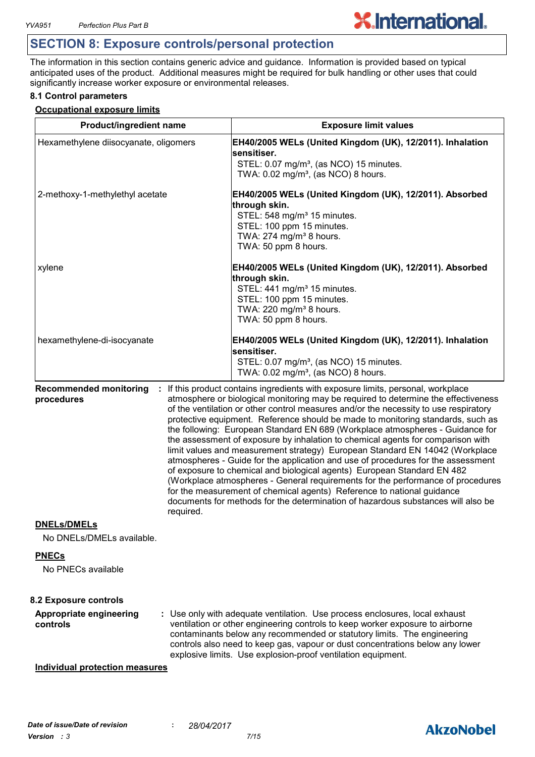# **SECTION 8: Exposure controls/personal protection**

The information in this section contains generic advice and guidance. Information is provided based on typical anticipated uses of the product. Additional measures might be required for bulk handling or other uses that could significantly increase worker exposure or environmental releases.

**X.International.** 

#### **8.1 Control parameters**

#### **Occupational exposure limits**

| Product/ingredient name                                  | <b>Exposure limit values</b>                                                                                                                                                                                                                                                                                                                                                                                                                                                                                                                                                                                                                                                                                                                                                                                                                                                                                                                                                                                          |
|----------------------------------------------------------|-----------------------------------------------------------------------------------------------------------------------------------------------------------------------------------------------------------------------------------------------------------------------------------------------------------------------------------------------------------------------------------------------------------------------------------------------------------------------------------------------------------------------------------------------------------------------------------------------------------------------------------------------------------------------------------------------------------------------------------------------------------------------------------------------------------------------------------------------------------------------------------------------------------------------------------------------------------------------------------------------------------------------|
| Hexamethylene diisocyanate, oligomers                    | EH40/2005 WELs (United Kingdom (UK), 12/2011). Inhalation<br>sensitiser.<br>STEL: 0.07 mg/m <sup>3</sup> , (as NCO) 15 minutes.<br>TWA: 0.02 mg/m <sup>3</sup> , (as NCO) 8 hours.                                                                                                                                                                                                                                                                                                                                                                                                                                                                                                                                                                                                                                                                                                                                                                                                                                    |
| 2-methoxy-1-methylethyl acetate                          | EH40/2005 WELs (United Kingdom (UK), 12/2011). Absorbed<br>through skin.<br>STEL: 548 mg/m <sup>3</sup> 15 minutes.<br>STEL: 100 ppm 15 minutes.<br>TWA: 274 mg/m <sup>3</sup> 8 hours.<br>TWA: 50 ppm 8 hours.                                                                                                                                                                                                                                                                                                                                                                                                                                                                                                                                                                                                                                                                                                                                                                                                       |
| xylene                                                   | EH40/2005 WELs (United Kingdom (UK), 12/2011). Absorbed<br>through skin.<br>STEL: 441 mg/m <sup>3</sup> 15 minutes.<br>STEL: 100 ppm 15 minutes.<br>TWA: 220 mg/m <sup>3</sup> 8 hours.<br>TWA: 50 ppm 8 hours.                                                                                                                                                                                                                                                                                                                                                                                                                                                                                                                                                                                                                                                                                                                                                                                                       |
| hexamethylene-di-isocyanate                              | EH40/2005 WELs (United Kingdom (UK), 12/2011). Inhalation<br>sensitiser.<br>STEL: 0.07 mg/m <sup>3</sup> , (as NCO) 15 minutes.<br>TWA: 0.02 mg/m <sup>3</sup> , (as NCO) 8 hours.                                                                                                                                                                                                                                                                                                                                                                                                                                                                                                                                                                                                                                                                                                                                                                                                                                    |
| <b>Recommended monitoring</b><br>procedures<br>required. | : If this product contains ingredients with exposure limits, personal, workplace<br>atmosphere or biological monitoring may be required to determine the effectiveness<br>of the ventilation or other control measures and/or the necessity to use respiratory<br>protective equipment. Reference should be made to monitoring standards, such as<br>the following: European Standard EN 689 (Workplace atmospheres - Guidance for<br>the assessment of exposure by inhalation to chemical agents for comparison with<br>limit values and measurement strategy) European Standard EN 14042 (Workplace<br>atmospheres - Guide for the application and use of procedures for the assessment<br>of exposure to chemical and biological agents) European Standard EN 482<br>(Workplace atmospheres - General requirements for the performance of procedures<br>for the measurement of chemical agents) Reference to national guidance<br>documents for methods for the determination of hazardous substances will also be |
| <b>DNELs/DMELs</b><br>No DNELs/DMELs available.          |                                                                                                                                                                                                                                                                                                                                                                                                                                                                                                                                                                                                                                                                                                                                                                                                                                                                                                                                                                                                                       |
| <b>PNECs</b><br>No PNECs available                       |                                                                                                                                                                                                                                                                                                                                                                                                                                                                                                                                                                                                                                                                                                                                                                                                                                                                                                                                                                                                                       |
| 8.2 Exposure controls                                    |                                                                                                                                                                                                                                                                                                                                                                                                                                                                                                                                                                                                                                                                                                                                                                                                                                                                                                                                                                                                                       |
| <b>Appropriate engineering</b><br>controls               | : Use only with adequate ventilation. Use process enclosures, local exhaust<br>ventilation or other engineering controls to keep worker exposure to airborne<br>contaminants below any recommended or statutory limits. The engineering<br>controls also need to keep gas, vapour or dust concentrations below any lower<br>explosive limits. Use explosion-proof ventilation equipment.                                                                                                                                                                                                                                                                                                                                                                                                                                                                                                                                                                                                                              |
| <b>Individual protection measures</b>                    |                                                                                                                                                                                                                                                                                                                                                                                                                                                                                                                                                                                                                                                                                                                                                                                                                                                                                                                                                                                                                       |

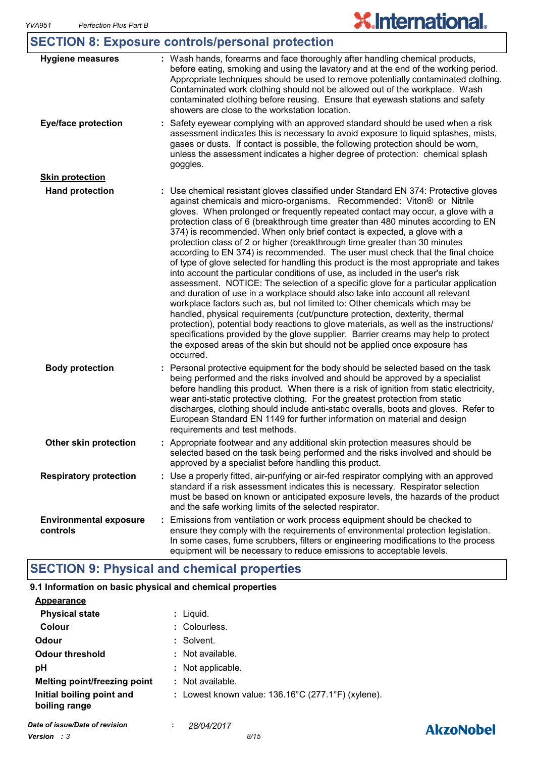| <b>SECTION 8: Exposure controls/personal protection</b> |
|---------------------------------------------------------|
|---------------------------------------------------------|

| <b>Hygiene measures</b>                   | : Wash hands, forearms and face thoroughly after handling chemical products,<br>before eating, smoking and using the lavatory and at the end of the working period.<br>Appropriate techniques should be used to remove potentially contaminated clothing.<br>Contaminated work clothing should not be allowed out of the workplace. Wash<br>contaminated clothing before reusing. Ensure that eyewash stations and safety<br>showers are close to the workstation location.                                                                                                                                                                                                                                                                                                                                                                                                                                                                                                                                                                                                                                                                                                                                                                                                                                                                                              |
|-------------------------------------------|--------------------------------------------------------------------------------------------------------------------------------------------------------------------------------------------------------------------------------------------------------------------------------------------------------------------------------------------------------------------------------------------------------------------------------------------------------------------------------------------------------------------------------------------------------------------------------------------------------------------------------------------------------------------------------------------------------------------------------------------------------------------------------------------------------------------------------------------------------------------------------------------------------------------------------------------------------------------------------------------------------------------------------------------------------------------------------------------------------------------------------------------------------------------------------------------------------------------------------------------------------------------------------------------------------------------------------------------------------------------------|
| <b>Eye/face protection</b>                | Safety eyewear complying with an approved standard should be used when a risk<br>assessment indicates this is necessary to avoid exposure to liquid splashes, mists,<br>gases or dusts. If contact is possible, the following protection should be worn,<br>unless the assessment indicates a higher degree of protection: chemical splash<br>goggles.                                                                                                                                                                                                                                                                                                                                                                                                                                                                                                                                                                                                                                                                                                                                                                                                                                                                                                                                                                                                                   |
| <b>Skin protection</b>                    |                                                                                                                                                                                                                                                                                                                                                                                                                                                                                                                                                                                                                                                                                                                                                                                                                                                                                                                                                                                                                                                                                                                                                                                                                                                                                                                                                                          |
| <b>Hand protection</b>                    | : Use chemical resistant gloves classified under Standard EN 374: Protective gloves<br>against chemicals and micro-organisms. Recommended: Viton® or Nitrile<br>gloves. When prolonged or frequently repeated contact may occur, a glove with a<br>protection class of 6 (breakthrough time greater than 480 minutes according to EN<br>374) is recommended. When only brief contact is expected, a glove with a<br>protection class of 2 or higher (breakthrough time greater than 30 minutes<br>according to EN 374) is recommended. The user must check that the final choice<br>of type of glove selected for handling this product is the most appropriate and takes<br>into account the particular conditions of use, as included in the user's risk<br>assessment. NOTICE: The selection of a specific glove for a particular application<br>and duration of use in a workplace should also take into account all relevant<br>workplace factors such as, but not limited to: Other chemicals which may be<br>handled, physical requirements (cut/puncture protection, dexterity, thermal<br>protection), potential body reactions to glove materials, as well as the instructions/<br>specifications provided by the glove supplier. Barrier creams may help to protect<br>the exposed areas of the skin but should not be applied once exposure has<br>occurred. |
| <b>Body protection</b>                    | Personal protective equipment for the body should be selected based on the task<br>being performed and the risks involved and should be approved by a specialist<br>before handling this product. When there is a risk of ignition from static electricity,<br>wear anti-static protective clothing. For the greatest protection from static<br>discharges, clothing should include anti-static overalls, boots and gloves. Refer to<br>European Standard EN 1149 for further information on material and design<br>requirements and test methods.                                                                                                                                                                                                                                                                                                                                                                                                                                                                                                                                                                                                                                                                                                                                                                                                                       |
| Other skin protection                     | : Appropriate footwear and any additional skin protection measures should be<br>selected based on the task being performed and the risks involved and should be<br>approved by a specialist before handling this product.                                                                                                                                                                                                                                                                                                                                                                                                                                                                                                                                                                                                                                                                                                                                                                                                                                                                                                                                                                                                                                                                                                                                                |
| <b>Respiratory protection</b>             | : Use a properly fitted, air-purifying or air-fed respirator complying with an approved<br>standard if a risk assessment indicates this is necessary. Respirator selection<br>must be based on known or anticipated exposure levels, the hazards of the product<br>and the safe working limits of the selected respirator.                                                                                                                                                                                                                                                                                                                                                                                                                                                                                                                                                                                                                                                                                                                                                                                                                                                                                                                                                                                                                                               |
| <b>Environmental exposure</b><br>controls | Emissions from ventilation or work process equipment should be checked to<br>ensure they comply with the requirements of environmental protection legislation.<br>In some cases, fume scrubbers, filters or engineering modifications to the process<br>equipment will be necessary to reduce emissions to acceptable levels.                                                                                                                                                                                                                                                                                                                                                                                                                                                                                                                                                                                                                                                                                                                                                                                                                                                                                                                                                                                                                                            |

# **SECTION 9: Physical and chemical properties**

#### **9.1 Information on basic physical and chemical properties**

| Appearance                                 |                                                              |
|--------------------------------------------|--------------------------------------------------------------|
| <b>Physical state</b>                      | : Liguid.                                                    |
| Colour                                     | : Colourless.                                                |
| Odour                                      | : Solvent.                                                   |
| <b>Odour threshold</b>                     | : Not available.                                             |
| рH                                         | : Not applicable.                                            |
| <b>Melting point/freezing point</b>        | : Not available.                                             |
| Initial boiling point and<br>boiling range | : Lowest known value: $136.16^{\circ}$ C (277.1°F) (xylene). |
| Date of issue/Date of revision             | 28/04/2017<br>÷                                              |

# **AkzoNobel**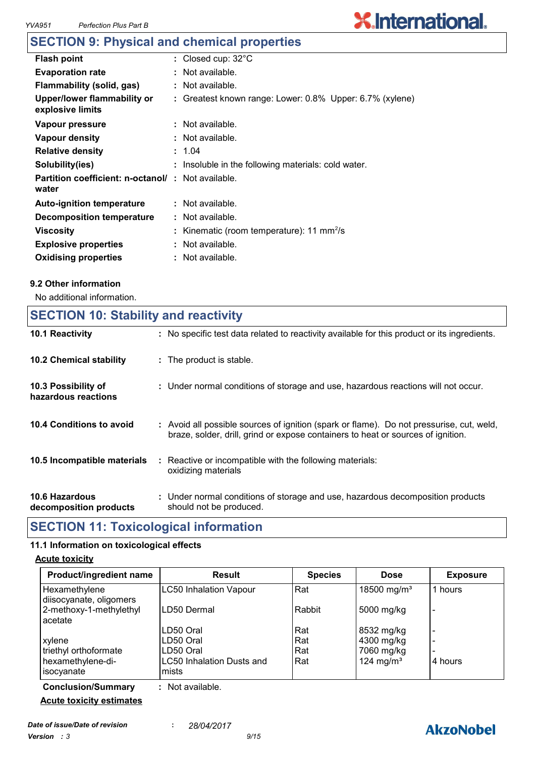# **SECTION 9: Physical and chemical properties**

| <b>Flash point</b>                                                 | : Closed cup: $32^{\circ}$ C                             |
|--------------------------------------------------------------------|----------------------------------------------------------|
| <b>Evaporation rate</b>                                            | : Not available.                                         |
| Flammability (solid, gas)                                          | : Not available.                                         |
| Upper/lower flammability or<br>explosive limits                    | : Greatest known range: Lower: 0.8% Upper: 6.7% (xylene) |
| Vapour pressure                                                    | $:$ Not available.                                       |
| Vapour density                                                     | : Not available.                                         |
| <b>Relative density</b>                                            | : 1.04                                                   |
| Solubility(ies)                                                    | : Insoluble in the following materials: cold water.      |
| <b>Partition coefficient: n-octanol/ : Not available.</b><br>water |                                                          |
| <b>Auto-ignition temperature</b>                                   | : Not available.                                         |
| Decomposition temperature                                          | : Not available.                                         |
| Viscosity                                                          | : Kinematic (room temperature): 11 mm <sup>2</sup> /s    |
| <b>Explosive properties</b>                                        | : Not available.                                         |
| <b>Oxidising properties</b>                                        | : Not available.                                         |

#### **9.2 Other information**

No additional information.

### **SECTION 10: Stability and reactivity**

| 10.1 Reactivity                            | : No specific test data related to reactivity available for this product or its ingredients.                                                                                 |
|--------------------------------------------|------------------------------------------------------------------------------------------------------------------------------------------------------------------------------|
| <b>10.2 Chemical stability</b>             | : The product is stable.                                                                                                                                                     |
| 10.3 Possibility of<br>hazardous reactions | : Under normal conditions of storage and use, hazardous reactions will not occur.                                                                                            |
| 10.4 Conditions to avoid                   | : Avoid all possible sources of ignition (spark or flame). Do not pressurise, cut, weld,<br>braze, solder, drill, grind or expose containers to heat or sources of ignition. |
| 10.5 Incompatible materials                | : Reactive or incompatible with the following materials:<br>oxidizing materials                                                                                              |
| 10.6 Hazardous<br>decomposition products   | : Under normal conditions of storage and use, hazardous decomposition products<br>should not be produced.                                                                    |

### **SECTION 11: Toxicological information**

#### **11.1 Information on toxicological effects**

#### **Acute toxicity**

| Product/ingredient name                  | <b>Result</b>                      | <b>Species</b> | <b>Dose</b>             | <b>Exposure</b> |
|------------------------------------------|------------------------------------|----------------|-------------------------|-----------------|
| Hexamethylene<br>diisocyanate, oligomers | <b>LC50 Inhalation Vapour</b>      | Rat            | 18500 mg/m <sup>3</sup> | 1 hours         |
| 2-methoxy-1-methylethyl<br>acetate       | LD50 Dermal                        | Rabbit         | 5000 mg/kg              | -               |
|                                          | LD50 Oral                          | Rat            | 8532 mg/kg              |                 |
| xylene                                   | LD50 Oral                          | Rat            | 4300 mg/kg              |                 |
| triethyl orthoformate                    | LD50 Oral                          | Rat            | 7060 mg/kg              |                 |
| hexamethylene-di-<br>isocyanate          | LC50 Inhalation Dusts and<br>mists | Rat            | 124 mg/m <sup>3</sup>   | 4 hours         |

**Conclusion/Summary :** Not available. **Acute toxicity estimates**

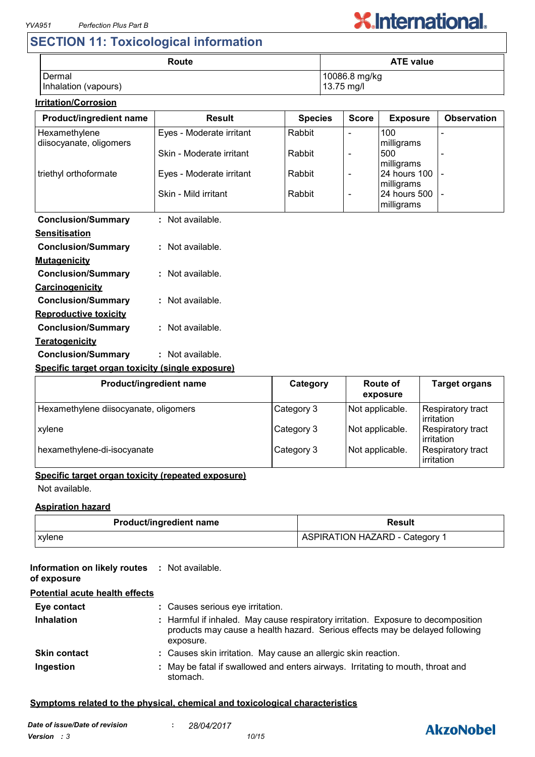# **SECTION 11: Toxicological information**

| Route                | <b>ATE value</b> |  |  |
|----------------------|------------------|--|--|
| Dermal               | 10086.8 mg/kg    |  |  |
| Inhalation (vapours) | 13.75 mg/l       |  |  |

#### **Irritation/Corrosion**

| Product/ingredient name                          | <b>Result</b>            | <b>Species</b> | <b>Score</b>             | <b>Exposure</b>             | <b>Observation</b>       |
|--------------------------------------------------|--------------------------|----------------|--------------------------|-----------------------------|--------------------------|
| Hexamethylene<br>diisocyanate, oligomers         | Eyes - Moderate irritant | Rabbit         | $\blacksquare$           | 100<br>milligrams           |                          |
|                                                  | Skin - Moderate irritant | Rabbit         | $\overline{\phantom{a}}$ | 500<br>milligrams           | $\overline{\phantom{a}}$ |
| triethyl orthoformate                            | Eyes - Moderate irritant | Rabbit         | $\blacksquare$           | 24 hours 100<br>milligrams  |                          |
|                                                  | Skin - Mild irritant     | Rabbit         | $\blacksquare$           | 24 hours 500<br>milligrams  |                          |
| <b>Conclusion/Summary</b>                        | : Not available.         |                |                          |                             |                          |
| <b>Sensitisation</b>                             |                          |                |                          |                             |                          |
| <b>Conclusion/Summary</b>                        | : Not available.         |                |                          |                             |                          |
| <b>Mutagenicity</b>                              |                          |                |                          |                             |                          |
| <b>Conclusion/Summary</b>                        | : Not available.         |                |                          |                             |                          |
| Carcinogenicity                                  |                          |                |                          |                             |                          |
| <b>Conclusion/Summary</b>                        | : Not available.         |                |                          |                             |                          |
| <b>Reproductive toxicity</b>                     |                          |                |                          |                             |                          |
| <b>Conclusion/Summary</b>                        | : Not available.         |                |                          |                             |                          |
| <b>Teratogenicity</b>                            |                          |                |                          |                             |                          |
| <b>Conclusion/Summary</b>                        | : Not available.         |                |                          |                             |                          |
| Specific target organ toxicity (single exposure) |                          |                |                          |                             |                          |
|                                                  | Product/ingredient name  | Category       |                          | <b>Route of</b><br>exposure | <b>Target organs</b>     |

| <b>FIVUULUIIIUI CUICIII IIAIIIC</b>   | <b>UALCYUI</b> Y | nvult vi        | ι αι γει νι γαι ιδ                     |
|---------------------------------------|------------------|-----------------|----------------------------------------|
|                                       |                  | exposure        |                                        |
| Hexamethylene diisocyanate, oligomers | Category 3       | Not applicable. | Respiratory tract<br>irritation        |
| xylene                                | Category 3       | Not applicable. | <b>Respiratory tract</b><br>irritation |
| hexamethylene-di-isocyanate           | Category 3       | Not applicable. | <b>Respiratory tract</b><br>irritation |

#### **Specific target organ toxicity (repeated exposure)**

Not available.

#### **Aspiration hazard**

| <b>Product/ingredient name</b> | Result                         |  |
|--------------------------------|--------------------------------|--|
| <b>xylene</b>                  | ASPIRATION HAZARD - Category 1 |  |

#### **Information on likely routes : Not available. of exposure**

#### **Potential acute health effects**

| Eye contact         | : Causes serious eye irritation.                                                                                                                                               |  |
|---------------------|--------------------------------------------------------------------------------------------------------------------------------------------------------------------------------|--|
| <b>Inhalation</b>   | : Harmful if inhaled. May cause respiratory irritation. Exposure to decomposition<br>products may cause a health hazard. Serious effects may be delayed following<br>exposure. |  |
| <b>Skin contact</b> | : Causes skin irritation. May cause an allergic skin reaction.                                                                                                                 |  |
| Ingestion           | : May be fatal if swallowed and enters airways. Irritating to mouth, throat and<br>stomach.                                                                                    |  |

#### **Symptoms related to the physical, chemical and toxicological characteristics**

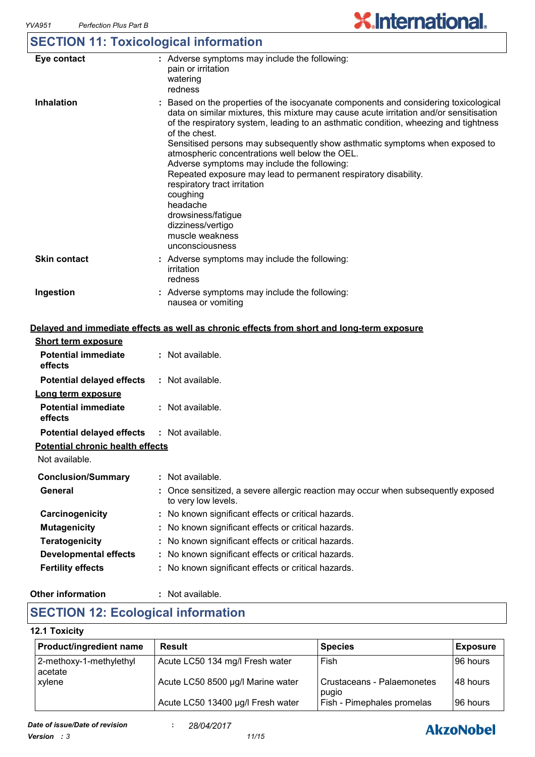# **SECTION 11: Toxicological information**

| Eye contact         | : Adverse symptoms may include the following:<br>pain or irritation<br>watering<br>redness                                                                                                                                                                                                                                                                                                                                                                                                                                                                                                                                                                                          |
|---------------------|-------------------------------------------------------------------------------------------------------------------------------------------------------------------------------------------------------------------------------------------------------------------------------------------------------------------------------------------------------------------------------------------------------------------------------------------------------------------------------------------------------------------------------------------------------------------------------------------------------------------------------------------------------------------------------------|
| <b>Inhalation</b>   | : Based on the properties of the isocyanate components and considering toxicological<br>data on similar mixtures, this mixture may cause acute irritation and/or sensitisation<br>of the respiratory system, leading to an asthmatic condition, wheezing and tightness<br>of the chest.<br>Sensitised persons may subsequently show asthmatic symptoms when exposed to<br>atmospheric concentrations well below the OEL.<br>Adverse symptoms may include the following:<br>Repeated exposure may lead to permanent respiratory disability.<br>respiratory tract irritation<br>coughing<br>headache<br>drowsiness/fatigue<br>dizziness/vertigo<br>muscle weakness<br>unconsciousness |
| <b>Skin contact</b> | : Adverse symptoms may include the following:<br>irritation<br>redness                                                                                                                                                                                                                                                                                                                                                                                                                                                                                                                                                                                                              |
| Ingestion           | : Adverse symptoms may include the following:<br>nausea or vomiting                                                                                                                                                                                                                                                                                                                                                                                                                                                                                                                                                                                                                 |

#### **Delayed and immediate effects as well as chronic effects from short and long-term exposure**

| <b>Short term exposure</b>              |                                                                                                          |
|-----------------------------------------|----------------------------------------------------------------------------------------------------------|
| <b>Potential immediate</b><br>effects   | $:$ Not available.                                                                                       |
| <b>Potential delayed effects</b>        | $:$ Not available.                                                                                       |
| Long term exposure                      |                                                                                                          |
| <b>Potential immediate</b><br>effects   | $:$ Not available.                                                                                       |
| <b>Potential delayed effects</b>        | : Not available.                                                                                         |
| <b>Potential chronic health effects</b> |                                                                                                          |
| Not available.                          |                                                                                                          |
| <b>Conclusion/Summary</b>               | : Not available.                                                                                         |
| General                                 | : Once sensitized, a severe allergic reaction may occur when subsequently exposed<br>to very low levels. |
| Carcinogenicity                         | : No known significant effects or critical hazards.                                                      |
| <b>Mutagenicity</b>                     | : No known significant effects or critical hazards.                                                      |
| <b>Teratogenicity</b>                   | : No known significant effects or critical hazards.                                                      |
| <b>Developmental effects</b>            | : No known significant effects or critical hazards.                                                      |
| <b>Fertility effects</b>                | : No known significant effects or critical hazards.                                                      |

#### **Other information :** : Not available.

## **SECTION 12: Ecological information**

#### **12.1 Toxicity**

| <b>Product/ingredient name</b>     | <b>Result</b>                     | <b>Species</b>                      | <b>Exposure</b> |
|------------------------------------|-----------------------------------|-------------------------------------|-----------------|
| 2-methoxy-1-methylethyl<br>acetate | Acute LC50 134 mg/l Fresh water   | Fish                                | I96 hours       |
| <b>xylene</b>                      | Acute LC50 8500 µg/l Marine water | Crustaceans - Palaemonetes<br>pugio | 148 hours       |
|                                    | Acute LC50 13400 µg/l Fresh water | Fish - Pimephales promelas          | 196 hours       |

# **AkzoNobel**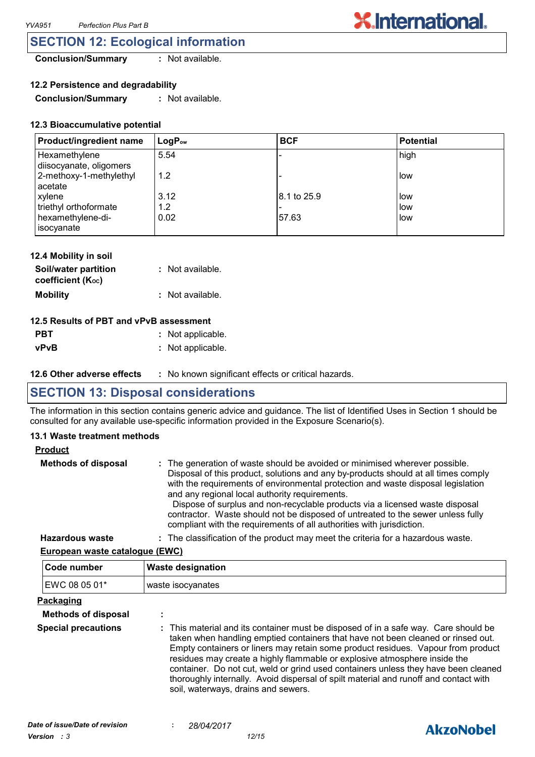### **SECTION 12: Ecological information**

**Conclusion/Summary :** Not available.

**12.2 Persistence and degradability**

**Conclusion/Summary :** Not available.

#### **12.3 Bioaccumulative potential**

| Product/ingredient name                  | $LogP_{ow}$ | <b>BCF</b>  | Potential |
|------------------------------------------|-------------|-------------|-----------|
| Hexamethylene<br>diisocyanate, oligomers | 5.54        |             | high      |
| 2-methoxy-1-methylethyl<br>acetate       | 1.2         |             | low       |
| xylene                                   | 3.12        | 8.1 to 25.9 | low       |
| triethyl orthoformate                    | 1.2         |             | low       |
| hexamethylene-di-<br>isocyanate          | 0.02        | 57.63       | low       |

| 12.4 Mobility in soil                     |                  |
|-------------------------------------------|------------------|
| Soil/water partition<br>coefficient (Koc) | : Not available. |
| <b>Mobility</b>                           | : Not available. |

#### **12.5 Results of PBT and vPvB assessment**

| <b>PBT</b>  | : Not applicable. |
|-------------|-------------------|
| <b>vPvB</b> | : Not applicable. |

**12.6 Other adverse effects** : No known significant effects or critical hazards.

### **SECTION 13: Disposal considerations**

The information in this section contains generic advice and guidance. The list of Identified Uses in Section 1 should be consulted for any available use-specific information provided in the Exposure Scenario(s).

#### **13.1 Waste treatment methods**

#### **Product**

| <b>Methods of disposal</b> | : The generation of waste should be avoided or minimised wherever possible.<br>Disposal of this product, solutions and any by-products should at all times comply<br>with the requirements of environmental protection and waste disposal legislation<br>and any regional local authority requirements.<br>Dispose of surplus and non-recyclable products via a licensed waste disposal<br>contractor. Waste should not be disposed of untreated to the sewer unless fully<br>compliant with the requirements of all authorities with jurisdiction. |
|----------------------------|-----------------------------------------------------------------------------------------------------------------------------------------------------------------------------------------------------------------------------------------------------------------------------------------------------------------------------------------------------------------------------------------------------------------------------------------------------------------------------------------------------------------------------------------------------|
| <b>Hazardous waste</b>     | : The classification of the product may meet the criteria for a hazardous waste.                                                                                                                                                                                                                                                                                                                                                                                                                                                                    |

**European waste catalogue (EWC)**

| Code number                | <b>Waste designation</b>                                                                                                                                                                                                                                                                                                                                                                                                                                                                                                                                      |
|----------------------------|---------------------------------------------------------------------------------------------------------------------------------------------------------------------------------------------------------------------------------------------------------------------------------------------------------------------------------------------------------------------------------------------------------------------------------------------------------------------------------------------------------------------------------------------------------------|
| EWC 08 05 01*              | waste isocyanates                                                                                                                                                                                                                                                                                                                                                                                                                                                                                                                                             |
| <u>Packaging</u>           |                                                                                                                                                                                                                                                                                                                                                                                                                                                                                                                                                               |
| <b>Methods of disposal</b> | ÷                                                                                                                                                                                                                                                                                                                                                                                                                                                                                                                                                             |
| <b>Special precautions</b> | : This material and its container must be disposed of in a safe way. Care should be<br>taken when handling emptied containers that have not been cleaned or rinsed out.<br>Empty containers or liners may retain some product residues. Vapour from product<br>residues may create a highly flammable or explosive atmosphere inside the<br>container. Do not cut, weld or grind used containers unless they have been cleaned<br>thoroughly internally. Avoid dispersal of spilt material and runoff and contact with<br>soil, waterways, drains and sewers. |

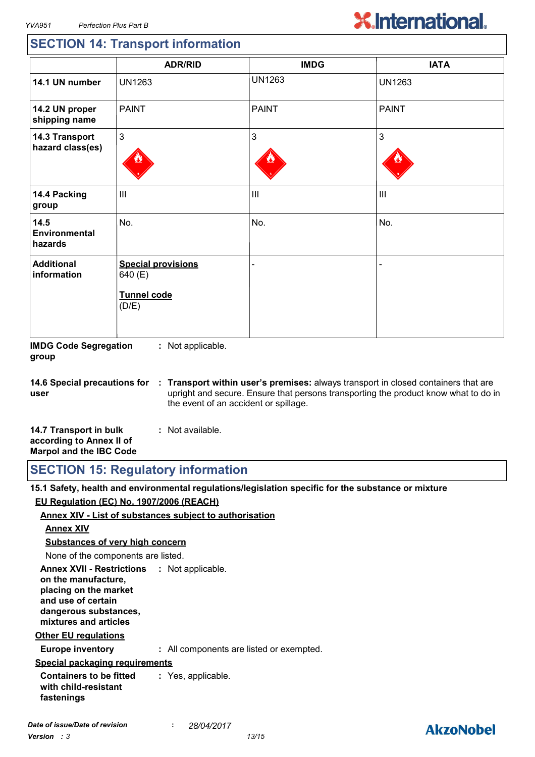# **SECTION 14: Transport information**

|                                    | <b>ADR/RID</b>                                                      | <b>IMDG</b>   | <b>IATA</b>    |
|------------------------------------|---------------------------------------------------------------------|---------------|----------------|
| 14.1 UN number                     | <b>UN1263</b>                                                       | <b>UN1263</b> | <b>UN1263</b>  |
| 14.2 UN proper<br>shipping name    | <b>PAINT</b>                                                        | <b>PAINT</b>  | <b>PAINT</b>   |
| 14.3 Transport<br>hazard class(es) | $\mathfrak{S}$                                                      | 3             | 3              |
| 14.4 Packing<br>group              | $\mathbf{III}$                                                      | III           | $\mathbf{III}$ |
| 14.5<br>Environmental<br>hazards   | No.                                                                 | No.           | No.            |
| <b>Additional</b><br>information   | <b>Special provisions</b><br>640 (E)<br><b>Tunnel code</b><br>(D/E) |               |                |

**IMDG Code Segregation group :** Not applicable.

**14.6 Special precautions for user Transport within user's premises:** always transport in closed containers that are **:** upright and secure. Ensure that persons transporting the product know what to do in the event of an accident or spillage.

| 14.7 Transport in bulk         | : Not available. |
|--------------------------------|------------------|
| according to Annex II of       |                  |
| <b>Marpol and the IBC Code</b> |                  |

| <b>SECTION 15: Regulatory information</b> |  |
|-------------------------------------------|--|
|-------------------------------------------|--|

**15.1 Safety, health and environmental regulations/legislation specific for the substance or mixture EU Regulation (EC) No. 1907/2006 (REACH)**

#### **Annex XIV - List of substances subject to authorisation**

#### **Annex XIV**

**Substances of very high concern**

None of the components are listed.

**Annex XVII - Restrictions : Not applicable. on the manufacture, placing on the market and use of certain dangerous substances, mixtures and articles**

#### **Other EU regulations**

**Europe inventory :** All components are listed or exempted.

#### **Special packaging requirements**

**Containers to be fitted with child-resistant fastenings :** Yes, applicable.

## **AkzoNobel**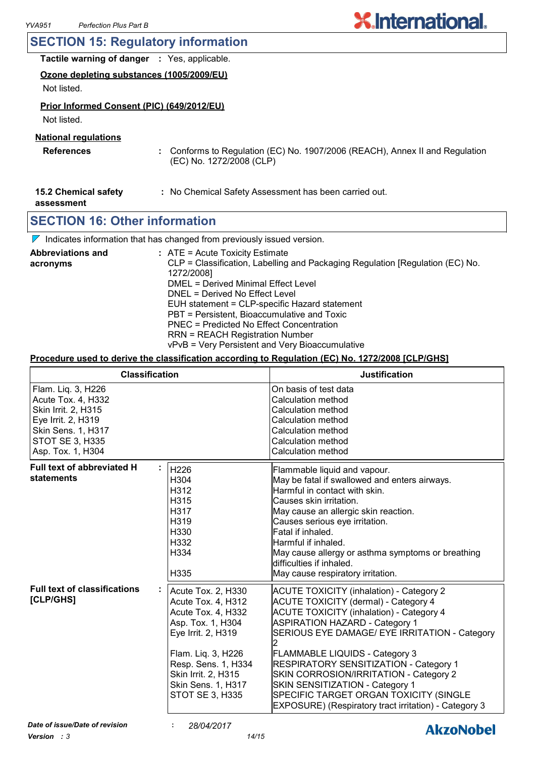### **SECTION 15: Regulatory information**

| <b>Tactile warning of danger : Yes, applicable.</b> |  |
|-----------------------------------------------------|--|

**Ozone depleting substances (1005/2009/EU)**

Not listed.

#### **Prior Informed Consent (PIC) (649/2012/EU)**

Not listed.

#### **National regulations**

- **References :** Conforms to Regulation (EC) No. 1907/2006 (REACH), Annex II and Regulation (EC) No. 1272/2008 (CLP)
- **15.2 Chemical safety :** No Chemical Safety Assessment has been carried out.

**assessment**

### **SECTION 16: Other information**

 $\nabla$  Indicates information that has changed from previously issued version.

| <b>Abbreviations and</b> | : ATE = Acute Toxicity Estimate                                               |
|--------------------------|-------------------------------------------------------------------------------|
| acronyms                 | CLP = Classification, Labelling and Packaging Regulation [Regulation (EC) No. |
|                          | 1272/2008]                                                                    |
|                          | DMEL = Derived Minimal Effect Level                                           |
|                          | DNEL = Derived No Effect Level                                                |
|                          | EUH statement = CLP-specific Hazard statement                                 |
|                          | PBT = Persistent, Bioaccumulative and Toxic                                   |
|                          | PNEC = Predicted No Effect Concentration                                      |
|                          | <b>RRN = REACH Registration Number</b>                                        |
|                          | vPvB = Very Persistent and Very Bioaccumulative                               |

#### **Procedure used to derive the classification according to Regulation (EC) No. 1272/2008 [CLP/GHS]**

| <b>Classification</b>                                                                                                                                      |                                                                                                                                                                                                                        | <b>Justification</b>                                                                                                                                                                                                                                                                                                                                                                                                                                                                                                  |
|------------------------------------------------------------------------------------------------------------------------------------------------------------|------------------------------------------------------------------------------------------------------------------------------------------------------------------------------------------------------------------------|-----------------------------------------------------------------------------------------------------------------------------------------------------------------------------------------------------------------------------------------------------------------------------------------------------------------------------------------------------------------------------------------------------------------------------------------------------------------------------------------------------------------------|
| Flam. Liq. 3, H226<br>Acute Tox. 4, H332<br>Skin Irrit. 2, H315<br>Eye Irrit. 2, H319<br>Skin Sens. 1, H317<br><b>STOT SE 3, H335</b><br>Asp. Tox. 1, H304 |                                                                                                                                                                                                                        | On basis of test data<br>Calculation method<br>Calculation method<br>Calculation method<br>Calculation method<br>Calculation method<br>Calculation method                                                                                                                                                                                                                                                                                                                                                             |
| <b>Full text of abbreviated H</b><br>statements                                                                                                            | H226<br>H304<br>H312<br>H315<br>H317<br>H319<br>H330<br>H332<br>H334<br>H335                                                                                                                                           | Flammable liquid and vapour.<br>May be fatal if swallowed and enters airways.<br>Harmful in contact with skin.<br>Causes skin irritation.<br>May cause an allergic skin reaction.<br>Causes serious eye irritation.<br>Fatal if inhaled.<br>Harmful if inhaled.<br>May cause allergy or asthma symptoms or breathing<br>difficulties if inhaled.<br>May cause respiratory irritation.                                                                                                                                 |
| <b>Full text of classifications</b><br>[CLP/GHS]                                                                                                           | Acute Tox. 2, H330<br>Acute Tox. 4, H312<br>Acute Tox. 4, H332<br>Asp. Tox. 1, H304<br>Eye Irrit. 2, H319<br>Flam. Liq. 3, H226<br>Resp. Sens. 1, H334<br>Skin Irrit. 2, H315<br>Skin Sens. 1, H317<br>STOT SE 3, H335 | <b>ACUTE TOXICITY (inhalation) - Category 2</b><br><b>ACUTE TOXICITY (dermal) - Category 4</b><br><b>ACUTE TOXICITY (inhalation) - Category 4</b><br><b>ASPIRATION HAZARD - Category 1</b><br>SERIOUS EYE DAMAGE/ EYE IRRITATION - Category<br><b>FLAMMABLE LIQUIDS - Category 3</b><br><b>RESPIRATORY SENSITIZATION - Category 1</b><br>SKIN CORROSION/IRRITATION - Category 2<br>SKIN SENSITIZATION - Category 1<br>SPECIFIC TARGET ORGAN TOXICITY (SINGLE<br>EXPOSURE) (Respiratory tract irritation) - Category 3 |
| Date of issue/Date of revision                                                                                                                             | 28/04/2017                                                                                                                                                                                                             | <b>AkzoNobel</b>                                                                                                                                                                                                                                                                                                                                                                                                                                                                                                      |